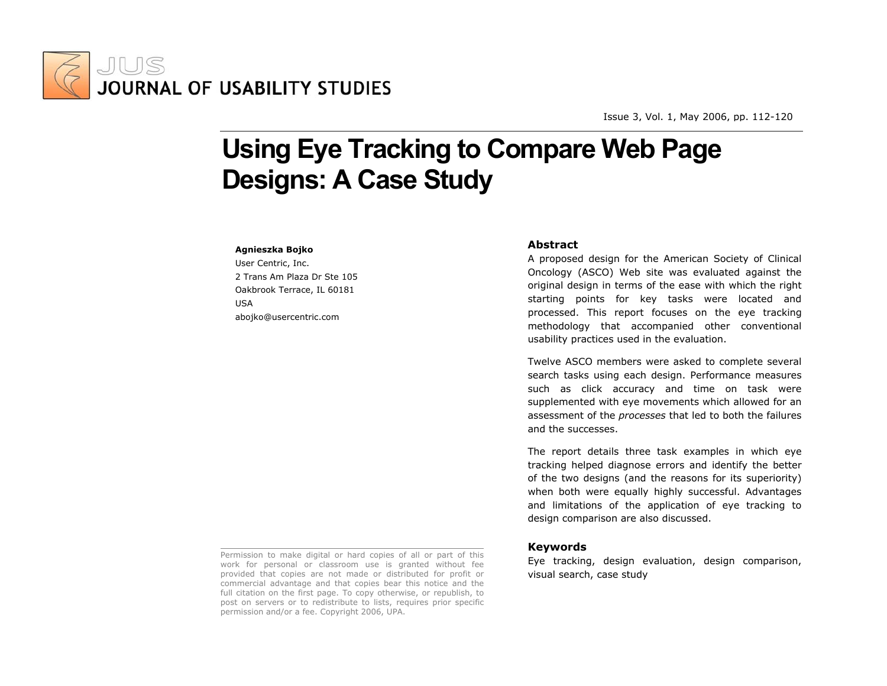

Issue 3, Vol. 1, Ma y 2006, pp. 112-120

# **Using Eye Tracking to Compare Web Page Designs: A Case Study**

#### **Agnieszka Bojko**

User Centric, Inc. 2 Trans Am Plaza Dr Ste 105 Oakbrook Terrace, IL 60181 USA abojko@usercentric.com

# **Abstract**

A proposed design for the American Society of Clinical Oncology (ASCO) Web site was evaluated against the original design in terms of the ease with which the right starting points for key tasks were located and processed. This report focuses on the eye tracking methodology that accompanied other conventional usability practices used in the evaluation.

Twelve ASCO members were asked to complete several search tasks using each design. Performance measures such as click accuracy and time on task were supplemented with eye movements which allowed for an assessment of the *processes* that led to both the failures and the successes.

The report details three task examples in which eye tracking helped diagnose errors and identify the better of the two designs (and the reasons for its superiority) when both were equally highly successful. Advantages and limitations of the application of eye tracking to design comparison are also discussed.

# **Keywords**

Eye tracking, design evaluation, design comparison, visual search, case study

Permission to make digital or hard copies of all or part of this work for personal or classroom use is granted without fee provided that copies are not made or distributed for profit or commercial advantage and that copies bear this notice and the full citation on the first page. To copy otherwise, or republish, to post on servers or to redistribute to lists, requires prior specific permission and/or a fee. Copyright 2006, UPA.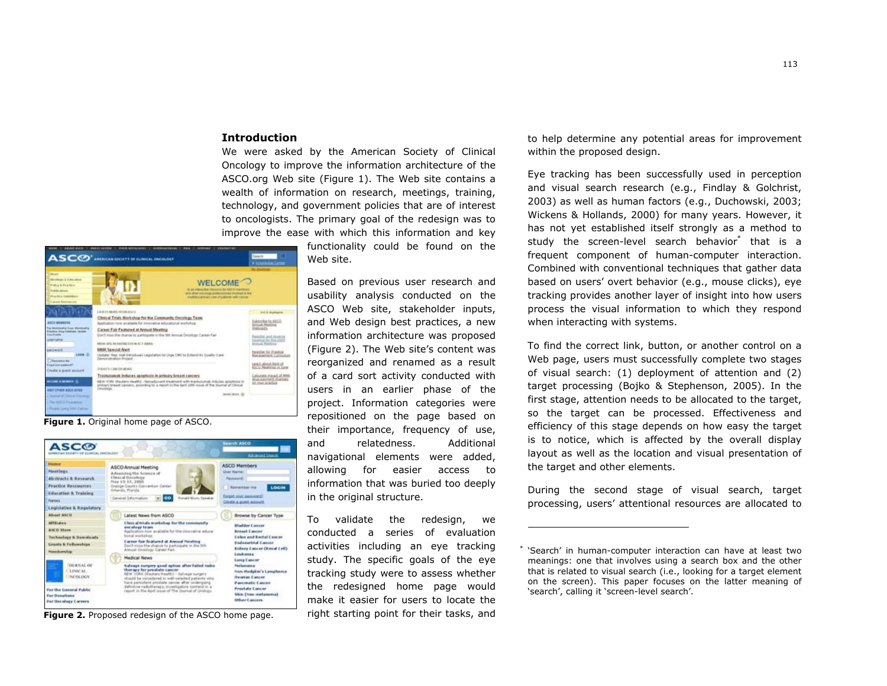# **Introduction**

We were asked by the American Society of Clinical Oncology to improve the information architecture of the ASCO.org Web site (Figure 1). The Web site contains a wealth of information on research, meetings, training, technology, and government policies that are of interest to oncologists. The primary goal of the redesign was to improve the ease with which this information and key



**Figure 1.** Original home page of ASCO.



**Figure 2.** Proposed redesign of the ASCO home page.

functionality could be found on the Web site.

Based on previous user research and usability analysis conducted on the ASCO Web site, stakeholder inputs, and Web design best practices, a new information architecture was proposed (Figure 2). The Web site's content was reorganized and renamed as a result of a card sort activity conducted with users in an earlier phase of the project. Information categories were repositioned on the page based on their importance, frequency of use, and relatedness. Additional navigational elements were added, allowing for easier access to information that was buried too deeply in the original structure.

To validate the redesign, we conducted a series of evaluation activities including an eye tracking study. The specific goals of the eye tracking study were to assess whether the redesigned home page would make it easier for users to locate the right starting point for their tasks, and

to help determine any potential areas for improvement within the proposed design.

Eye tracking has been successfully used in perception and visual search research (e.g., Findlay & Golchrist, 2003) as well as human factors (e.g., Duchowski, 2003; Wickens & Hollands, 2000) for many years. However, it has not yet established itself strongly as a method to study the screen-level search behavior<sup>\*</sup> that is a frequent component of human-computer interaction. Combined with conventional techniques that gather data based on users' overt behavior (e.g., mouse clicks), eye tracking provides another layer of insight into how users process the visual information to which they respond when interacting with systems.

To find the correct link, button, or another control on a Web page, users must successfully complete two stages of visual search: (1) deployment of attention and (2) target processing (Bojko & Stephenson, 2005). In the first stage, attention needs to be allocated to the target, so the target can be processed. Effectiveness and efficiency of this stage depends on how easy the target is to notice, which is affected by the overall display layout as well as the location and visual presentation of the target and other elements.

During the second stage of visual search, target processing, users' attentional resources are allocated to

<sup>\* &#</sup>x27;Search' in human-computer interaction can have at least two meanings: one that involves using a search box and the other that is related to visual search (i.e., looking for a target element on the screen). This paper focuses on the latter meaning of 'search', calling it 'screen-level search'.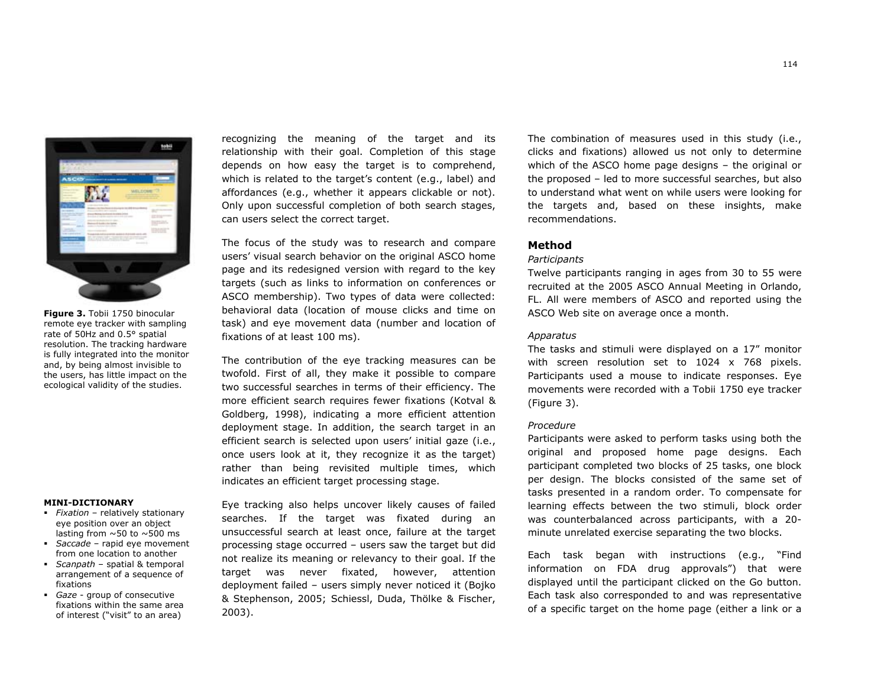

**Figure 3.** Tobii 1750 binocular remote eye tracker with sampling rate of 50Hz and 0.5° spatial resolution. The tracking hardware is fully integrated into the monitor and, by being almost invisible to the users, has little impact on the ecological validity of the studies.

# **MINI-DICTIONARY**

- *Fixation* relatively stationary eye position over an object lasting from  $\sim$  50 to  $\sim$  500 ms
- *Saccade* rapid eye movement from one location to another
- *Scanpath* spatial & temporal arrangement of a sequence of fixations
- *Gaze* group of consecutive fixations within the same area of interest ("visit" to an area)

recognizing the meaning of the target and its relationship with their goal. Completion of this stage depends on how easy the target is to comprehend, which is related to the target's content (e.g., label) and affordances (e.g., whether it appears clickable or not). Only upon successful completion of both search stages, can users select the correct target.

The focus of the study was to research and compare users' visual search behavior on the original ASCO home page and its redesigned version with regard to the key targets (such as links to information on conferences or ASCO membership). Two types of data were collected: behavioral data (location of mouse clicks and time on task) and eye movement data (number and location of fixations of at least 100 ms).

The contribution of the eye tracking measures can be twofold. First of all, they make it possible to compare two successful searches in terms of their efficiency. The more efficient search requires fewer fixations (Kotval & Goldberg, 1998), indicating a more efficient attention deployment stage. In addition, the search target in an efficient search is selected upon users' initial gaze (i.e., once users look at it, they recognize it as the target) rather than being revisited multiple times, which indicates an efficient target processing stage.

Eye tracking also helps uncover likely causes of failed searches. If the target was fixated during an unsuccessful search at least once, failure at the target processing stage occurred – users saw the target but did not realize its meaning or relevancy to their goal. If the target was never fixated, however, attention deployment failed – users simply never noticed it (Bojko & Stephenson, 2005; Schiessl, Duda, Thölke & Fischer, 2003).

The combination of measures used in this study (i.e., clicks and fixations) allowed us not only to determine which of the ASCO home page designs – the original or the proposed – led to more successful searches, but also to understand what went on while users were looking for the targets and, based on these insights, make recommendations.

# **Method**

#### *Participants*

Twelve participants ranging in ages from 30 to 55 were recruited at the 2005 ASCO Annual Meeting in Orlando, FL. All were members of ASCO and reported using the ASCO Web site on average once a month.

# *Apparatus*

The tasks and stimuli were displayed on a 17" monitor with screen resolution set to 1024 x 768 pixels. Participants used a mouse to indicate responses. Eye movements were recorded with a Tobii 1750 eye tracker (Figure 3).

#### *Procedure*

Participants were asked to perform tasks using both the original and proposed home page designs. Each participant completed two blocks of 25 tasks, one block per design. The blocks consisted of the same set of tasks presented in a random order. To compensate for learning effects between the two stimuli, block order was counterbalanced across participants, with a 20 minute unrelated exercise separating the two blocks.

Each task began with instructions (e.g., "Find information on FDA drug approvals") that were displayed until the participant clicked on the Go button. Each task also corresponded to and was representative of a specific target on the home page (either a link or a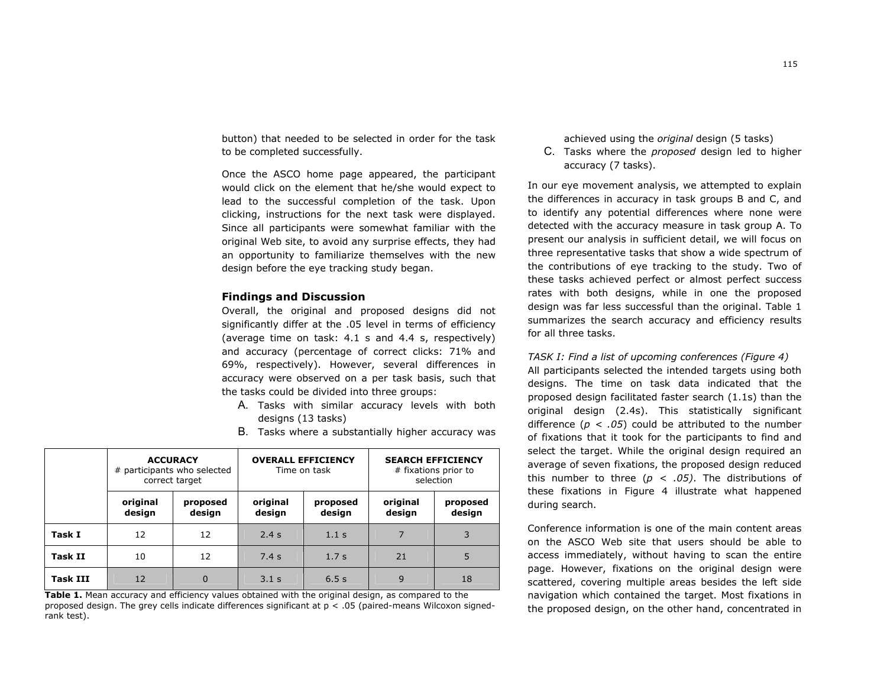button) that needed to be selected in order for the task to be completed successfully.

Once the ASCO home page appeared, the participant would click on the element that he/she would expect to lead to the successful completion of the task. Upon clicking, instructions for the next task were displayed. Since all participants were somewhat familiar with the original Web site, to avoid any surprise effects, they had an opportunity to familiarize themselves with the new design before the eye tracking study began.

# **Findings and Discussion**

Overall, the original and proposed designs did not significantly differ at the .05 level in terms of efficiency (average time on task: 4.1 s and 4.4 s, respectively) and accuracy (percentage of correct clicks: 71% and 69%, respectively). However, several differences in accuracy were observed on a per task basis, such that the tasks could be divided into three groups:

- A. Tasks with similar accuracy levels with both designs (13 tasks)
- B. Tasks where a substantially higher accuracy was

|                 | <b>ACCURACY</b><br># participants who selected<br>correct target |                    | <b>OVERALL EFFICIENCY</b><br>Time on task |                    | <b>SEARCH EFFICIENCY</b><br># fixations prior to<br>selection |                    |
|-----------------|------------------------------------------------------------------|--------------------|-------------------------------------------|--------------------|---------------------------------------------------------------|--------------------|
|                 | original<br>design                                               | proposed<br>design | original<br>design                        | proposed<br>design | original<br>design                                            | proposed<br>design |
| Task I          | 12                                                               | 12                 | 2.4s                                      | 1.1 <sub>s</sub>   |                                                               | 3                  |
| <b>Task II</b>  | 10                                                               | 12                 | 7.4s                                      | 1.7 <sub>s</sub>   | 21                                                            | 5                  |
| <b>Task III</b> | 12                                                               | 0                  | 3.1 <sub>s</sub>                          | 6.5s               | 9                                                             | 18                 |

**Table 1.** Mean accuracy and efficiency values obtained with the original design, as compared to the proposed design. The grey cells indicate differences significant at p < .05 (paired-means Wilcoxon signedrank test).

achieved using the *original* design (5 tasks)

C. Tasks where the *proposed* design led to higher accuracy (7 tasks).

In our eye movement analysis, we attempted to explain the differences in accuracy in task groups B and C, and to identify any potential differences where none were detected with the accuracy measure in task group A. To present our analysis in sufficient detail, we will focus on three representative tasks that show a wide spectrum of the contributions of eye tracking to the study. Two of these tasks achieved perfect or almost perfect success rates with both designs, while in one the proposed design was far less successful than the original. Table 1 summarizes the search accuracy and efficiency results for all three tasks.

# *TASK I: Find a list of upcoming conferences (Figure 4)*

All participants selected the intended targets using both designs. The time on task data indicated that the proposed design facilitated faster search (1.1s) than the original design (2.4s). This statistically significant difference ( $p < .05$ ) could be attributed to the number of fixations that it took for the participants to find and select the target. While the original design required an average of seven fixations, the proposed design reduced this number to three (*p < .05)*. The distributions of these fixations in Figure 4 illustrate what happened during search.

Conference information is one of the main content areas on the ASCO Web site that users should be able to access immediately, without having to scan the entire page. However, fixations on the original design were scattered, covering multiple areas besides the left side navigation which contained the target. Most fixations in the proposed design, on the other hand, concentrated in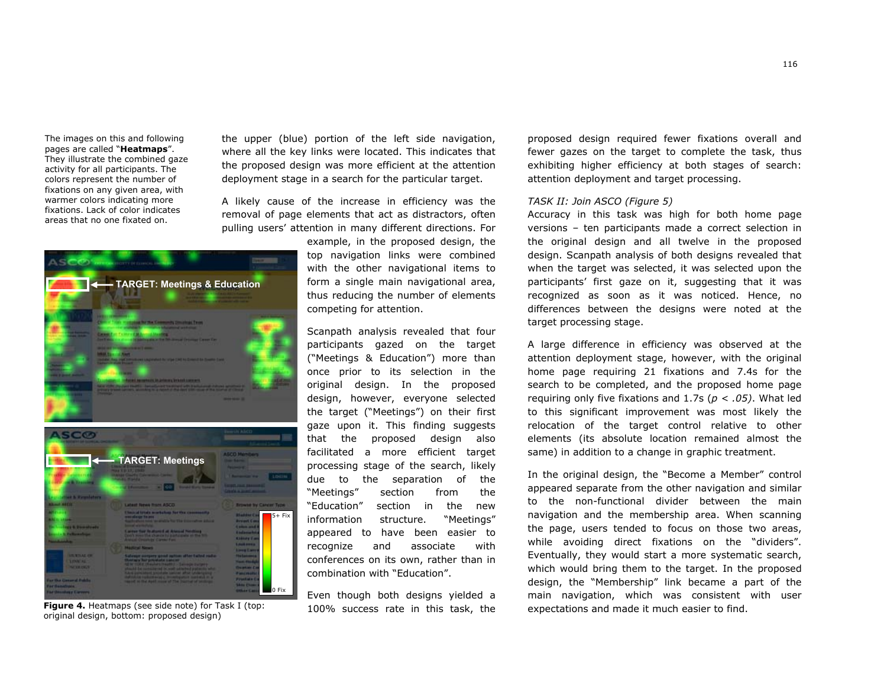The images on this and following pages are called "**Heatmaps**". They illustrate the combined gaze activity for all participants. The colors represent the number of fixations on any given area, with warmer colors indicating more fixations. Lack of color indicates areas that no one fixated on.



**Figure 4.** Heatmaps (see side note) for Task I (top: original design, bottom: proposed design)

the upper (blue) portion of the left side navigation, where all the key links were located. This indicates that the proposed design was more efficient at the attention deployment stage in a search for the particular target.

A likely cause of the increase in efficiency was the removal of page elements that act as distractors, often pulling users' attention in many different directions. For

> example, in the proposed design, the top navigation links were combined with the other navigational items to form a single main navigational area, thus reducing the number of elements competing for attention.

> Scanpath analysis revealed that four participants gazed on the target ("Meetings & Education") more than once prior to its selection in the original design. In the proposed design, however, everyone selected the target ("Meetings") on their first gaze upon it. This finding suggests that the proposed design also facilitated a more efficient target processing stage of the search, likely due to the separation of the "Meetings" section from the "Education" section in the new information structure. "Meetings" appeared to have been easier to recognize and associate with conferences on its own, rather than in combination with "Education".

> Even though both designs yielded a 100% success rate in this task, the

proposed design required fewer fixations overall and fewer gazes on the target to complete the task, thus exhibiting higher efficiency at both stages of search: attention deployment and target processing.

# *TASK II: Join ASCO (Figure 5)*

Accuracy in this task was high for both home page versions – ten participants made a correct selection in the original design and all twelve in the proposed design. Scanpath analysis of both designs revealed that when the target was selected, it was selected upon the participants' first gaze on it, suggesting that it was recognized as soon as it was noticed. Hence, no differences between the designs were noted at the target processing stage.

A large difference in efficiency was observed at the attention deployment stage, however, with the original home page requiring 21 fixations and 7.4s for the search to be completed, and the proposed home page requiring only five fixations and 1.7s (*p < .05)*. What led to this significant improvement was most likely the relocation of the target control relative to other elements (its absolute location remained almost the same) in addition to a change in graphic treatment.

In the original design, the "Become a Member" control appeared separate from the other navigation and similar to the non-functional divider between the main navigation and the membership area. When scanning the page, users tended to focus on those two areas, while avoiding direct fixations on the "dividers". Eventually, they would start a more systematic search, which would bring them to the target. In the proposed design, the "Membership" link became a part of the main navigation, which was consistent with user expectations and made it much easier to find.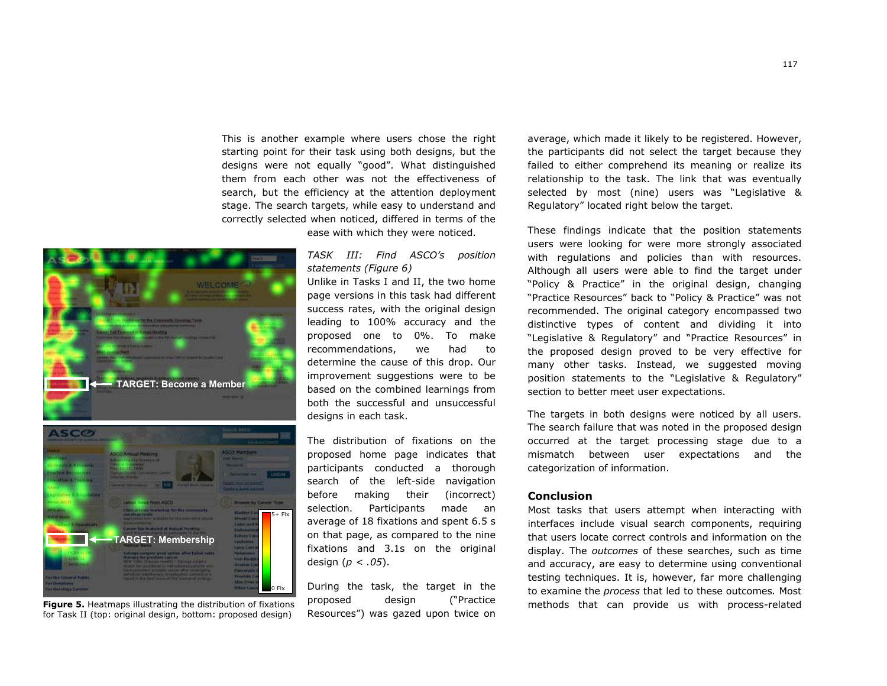This is another example where users chose the right starting point for their task using both designs, but the designs were not equally "good". What distinguished them from each other was not the effectiveness of search, but the efficiency at the attention deployment stage. The search targets, while easy to understand and correctly selected when noticed, differed in terms of the

ease with which they were noticed.





**Figure 5.** Heatmaps illustrating the distribution of fixations for Task II (top: original design, bottom: proposed design)

# *TASK III: Find ASCO's position statements (Figure 6)*

Unlike in Tasks I and II, the two home page versions in this task had different success rates, with the original design leading to 100% accuracy and the proposed one to 0%. To make recommendations, we had to determine the cause of this drop. Our improvement suggestions were to be based on the combined learnings from both the successful and unsuccessful designs in each task.

The distribution of fixations on the proposed home page indicates that participants conducted a thorough search of the left-side navigation before making their (incorrect) selection. Participants made an average of 18 fixations and spent 6.5 s on that page, as compared to the nine fixations and 3.1s on the original design (*p < .05*).

During the task, the target in the proposed design ("Practice Resources") was gazed upon twice on

average, which made it likely to be registered. However, the participants did not select the target because they failed to either comprehend its meaning or realize its relationship to the task. The link that was eventually selected by most (nine) users was "Legislative & Regulatory" located right below the target.

These findings indicate that the position statements users were looking for were more strongly associated with regulations and policies than with resources. Although all users were able to find the target under "Policy & Practice" in the original design, changing "Practice Resources" back to "Policy & Practice" was not recommended. The original category encompassed two distinctive types of content and dividing it into "Legislative & Regulatory" and "Practice Resources" in the proposed design proved to be very effective for many other tasks. Instead, we suggested moving position statements to the "Legislative & Regulatory" section to better meet user expectations.

The targets in both designs were noticed by all users. The search failure that was noted in the proposed design occurred at the target processing stage due to a mismatch between user expectations and the categorization of information.

# **Conclusion**

Most tasks that users attempt when interacting with interfaces include visual search components, requiring that users locate correct controls and information on the display. The *outcomes* of these searches, such as time and accuracy, are easy to determine using conventional testing techniques. It is, however, far more challenging to examine the *process* that led to these outcomes*.* Most methods that can provide us with process-related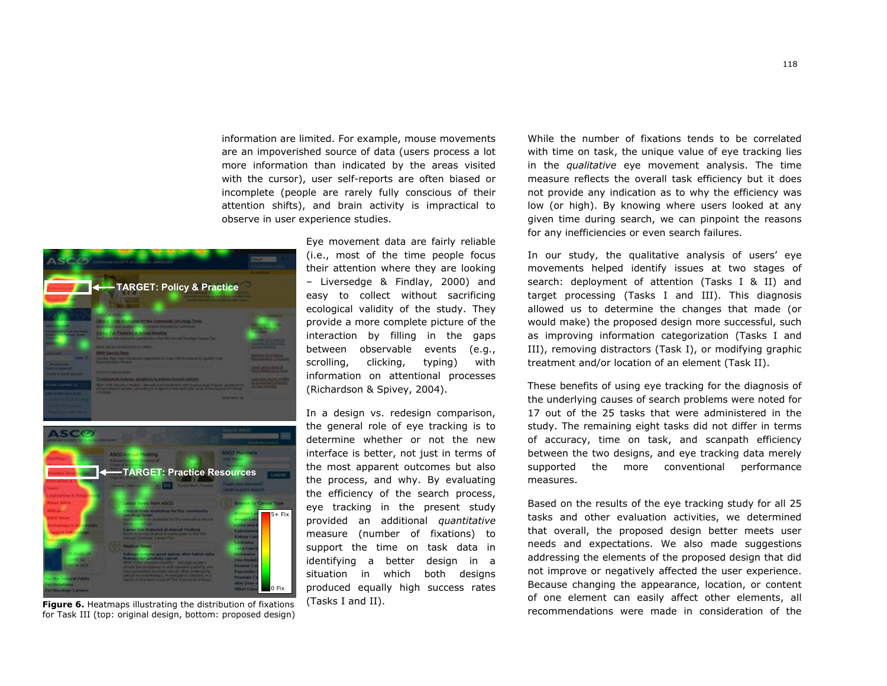information are limited. For example, mouse movements are an impoverished source of data (users process a lot more information than indicated by the areas visited with the cursor), user self-reports are often biased or incomplete (people are rarely fully conscious of their attention shifts), and brain activity is impractical to observe in user experience studies.





**Figure 6.** Heatmaps illustrating the distribution of fixations for Task III (top: original design, bottom: proposed design)

Eye movement data are fairly reliable (i.e., most of the time people focus their attention where they are looking – Liversedge & Findlay, 2000) and easy to collect without sacrificing ecological validity of the study. They provide a more complete picture of the interaction by filling in the gaps between observable events (e.g., scrolling, clicking, typing) with information on attentional processes (Richardson & Spivey, 2004).

In a design vs. redesign comparison, the general role of eye tracking is to determine whether or not the new interface is better, not just in terms of the most apparent outcomes but also the process, and why. By evaluating the efficiency of the search process, eye tracking in the present study provided an additional *quantitative* measure (number of fixations) to support the time on task data in identifying a better design in a situation in which both designs produced equally high success rates (Tasks I and II).

While the number of fixations tends to be correlated with time on task, the unique value of eye tracking lies in the *qualitative* eye movement analysis. The time measure reflects the overall task efficiency but it does not provide any indication as to why the efficiency was low (or high). By knowing where users looked at any given time during search, we can pinpoint the reasons for any inefficiencies or even search failures.

In our study, the qualitative analysis of users' eye movements helped identify issues at two stages of search: deployment of attention (Tasks I & II) and target processing (Tasks I and III). This diagnosis allowed us to determine the changes that made (or would make) the proposed design more successful, such as improving information categorization (Tasks I and III), removing distractors (Task I), or modifying graphic treatment and/or location of an element (Task II).

These benefits of using eye tracking for the diagnosis of the underlying causes of search problems were noted for 17 out of the 25 tasks that were administered in the study. The remaining eight tasks did not differ in terms of accuracy, time on task, and scanpath efficiency between the two designs, and eye tracking data merely supported the more conventional performance measures.

Based on the results of the eye tracking study for all 25 tasks and other evaluation activities, we determined that overall, the proposed design better meets user needs and expectations. We also made suggestions addressing the elements of the proposed design that did not improve or negatively affected the user experience. Because changing the appearance, location, or content of one element can easily affect other elements, all recommendations were made in consideration of the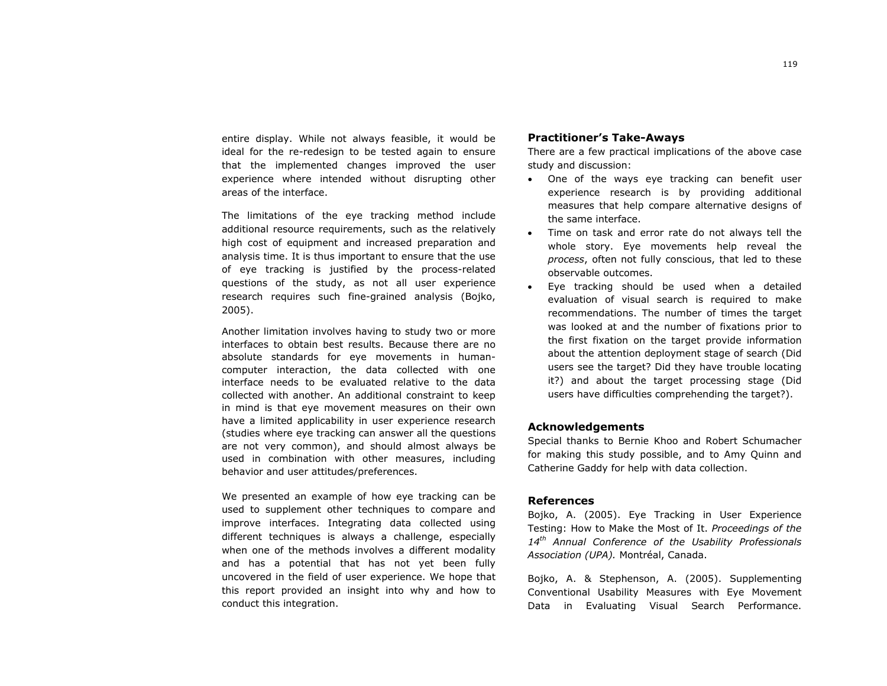entire display. While not always feasible, it would be ideal for the re-redesign to be tested again to ensure that the implemented changes improved the user experience where intended without disrupting other areas of the interface.

The limitations of the eye tracking method include additional resource requirements, such as the relatively high cost of equipment and increased preparation and analysis time. It is thus important to ensure that the use of eye tracking is justified by the process-related questions of the study, as not all user experience research requires such fine-grained analysis (Bojko, 2005).

Another limitation involves having to study two or more interfaces to obtain best results. Because there are no absolute standards for eye movements in humancomputer interaction, the data collected with one interface needs to be evaluated relative to the data collected with another. An additional constraint to keep in mind is that eye movement measures on their own have a limited applicability in user experience research (studies where eye tracking can answer all the questions are not very common), and should almost always be used in combination with other measures, including behavior and user attitudes/preferences.

We presented an example of how eye tracking can be used to supplement other techniques to compare and improve interfaces. Integrating data collected using different techniques is always a challenge, especially when one of the methods involves a different modality and has a potential that has not yet been fully uncovered in the field of user experience. We hope that this report provided an insight into why and how to conduct this integration.

# **Practitioner's Take-Aways**

There are a few practical implications of the above case study and discussion:

- One of the ways eye tracking can benefit user experience research is by providing additional measures that help compare alternative designs of the same interface.
- Time on task and error rate do not always tell the whole story. Eye movements help reveal the *process*, often not fully conscious, that led to these observable outcomes.
- • Eye tracking should be used when a detailed evaluation of visual search is required to make recommendations. The number of times the target was looked at and the number of fixations prior to the first fixation on the target provide information about the attention deployment stage of search (Did users see the target? Did they have trouble locating it?) and about the target processing stage (Did users have difficulties comprehending the target?).

# **Acknowledgements**

Special thanks to Bernie Khoo and Robert Schumacher for making this study possible, and to Amy Quinn and Catherine Gaddy for help with data collection.

# **References**

Bojko, A. (2005). Eye Tracking in User Experience Testing: How to Make the Most of It. *Proceedings of the <sup>14</sup>th Annual Conference of the Usability Professionals Association (UPA).* Montréal, Canada.

Bojko, A. & Stephenson, A. (2005). Supplementing Conventional Usability Measures with Eye Movement Data in Evaluating Visual Search Performance.